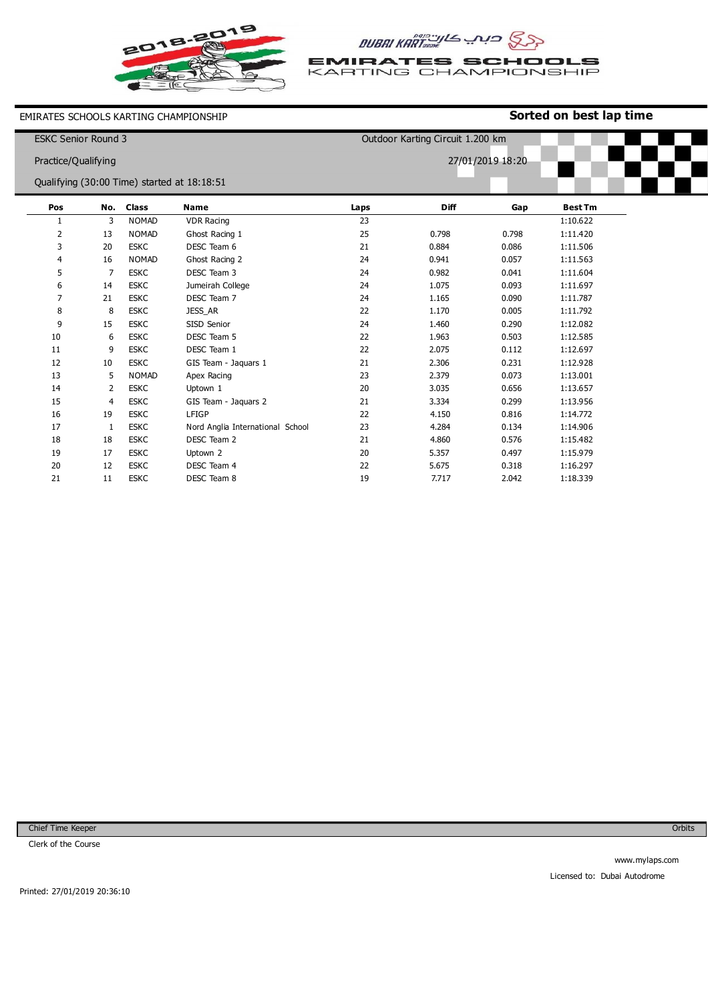



**EMIRATES SCHOOLS**<br>KARTING CHAMPIONSHIP

EMIRATES SCHOOLS KARTING CHAMPIONSHIP

## **Sorted on best lap time**

| <b>ESKC Senior Round 3</b> |                     |              |                                             | Outdoor Karting Circuit 1.200 km |                  |       |                |  |  |
|----------------------------|---------------------|--------------|---------------------------------------------|----------------------------------|------------------|-------|----------------|--|--|
|                            | Practice/Qualifying |              |                                             |                                  | 27/01/2019 18:20 |       |                |  |  |
|                            |                     |              |                                             |                                  |                  |       |                |  |  |
|                            |                     |              | Qualifying (30:00 Time) started at 18:18:51 |                                  |                  |       |                |  |  |
| Pos                        | No.                 | <b>Class</b> | <b>Name</b>                                 | Laps                             | <b>Diff</b>      | Gap   | <b>Best Tm</b> |  |  |
| 1                          | 3                   | <b>NOMAD</b> | <b>VDR Racing</b>                           | 23                               |                  |       | 1:10.622       |  |  |
| 2                          | 13                  | <b>NOMAD</b> | Ghost Racing 1                              | 25                               | 0.798            | 0.798 | 1:11.420       |  |  |
| 3                          | 20                  | <b>ESKC</b>  | DESC Team 6                                 | 21                               | 0.884            | 0.086 | 1:11.506       |  |  |
| 4                          | 16                  | <b>NOMAD</b> | Ghost Racing 2                              | 24                               | 0.941            | 0.057 | 1:11.563       |  |  |
| 5                          | 7                   | <b>ESKC</b>  | DESC Team 3                                 | 24                               | 0.982            | 0.041 | 1:11.604       |  |  |
| 6                          | 14                  | <b>ESKC</b>  | Jumeirah College                            | 24                               | 1.075            | 0.093 | 1:11.697       |  |  |
| 7                          | 21                  | <b>ESKC</b>  | DESC Team 7                                 | 24                               | 1.165            | 0.090 | 1:11.787       |  |  |
| 8                          | 8                   | <b>ESKC</b>  | <b>JESS AR</b>                              | 22                               | 1.170            | 0.005 | 1:11.792       |  |  |
| 9                          | 15                  | <b>ESKC</b>  | SISD Senior                                 | 24                               | 1.460            | 0.290 | 1:12.082       |  |  |
| 10                         | 6                   | <b>ESKC</b>  | DESC Team 5                                 | 22                               | 1.963            | 0.503 | 1:12.585       |  |  |
| 11                         | 9                   | <b>ESKC</b>  | DESC Team 1                                 | 22                               | 2.075            | 0.112 | 1:12.697       |  |  |
| 12                         | 10                  | <b>ESKC</b>  | GIS Team - Jaquars 1                        | 21                               | 2.306            | 0.231 | 1:12.928       |  |  |
| 13                         | 5                   | <b>NOMAD</b> | Apex Racing                                 | 23                               | 2.379            | 0.073 | 1:13.001       |  |  |
| 14                         | 2                   | <b>ESKC</b>  | Uptown 1                                    | 20                               | 3.035            | 0.656 | 1:13.657       |  |  |
| 15                         | 4                   | <b>ESKC</b>  | GIS Team - Jaquars 2                        | 21                               | 3.334            | 0.299 | 1:13.956       |  |  |
| 16                         | 19                  | <b>ESKC</b>  | LFIGP                                       | 22                               | 4.150            | 0.816 | 1:14.772       |  |  |
| 17                         | 1                   | <b>ESKC</b>  | Nord Anglia International School            | 23                               | 4.284            | 0.134 | 1:14.906       |  |  |
| 18                         | 18                  | <b>ESKC</b>  | DESC Team 2                                 | 21                               | 4.860            | 0.576 | 1:15.482       |  |  |
| 19                         | 17                  | <b>ESKC</b>  | Uptown 2                                    | 20                               | 5.357            | 0.497 | 1:15.979       |  |  |
| 20                         | 12                  | <b>ESKC</b>  | DESC Team 4                                 | 22                               | 5.675            | 0.318 | 1:16.297       |  |  |
| 21                         | 11                  | <b>ESKC</b>  | DESC Team 8                                 | 19                               | 7.717            | 2.042 | 1:18.339       |  |  |

Chief Time Keeper

Clerk of the Course

**Orbits**